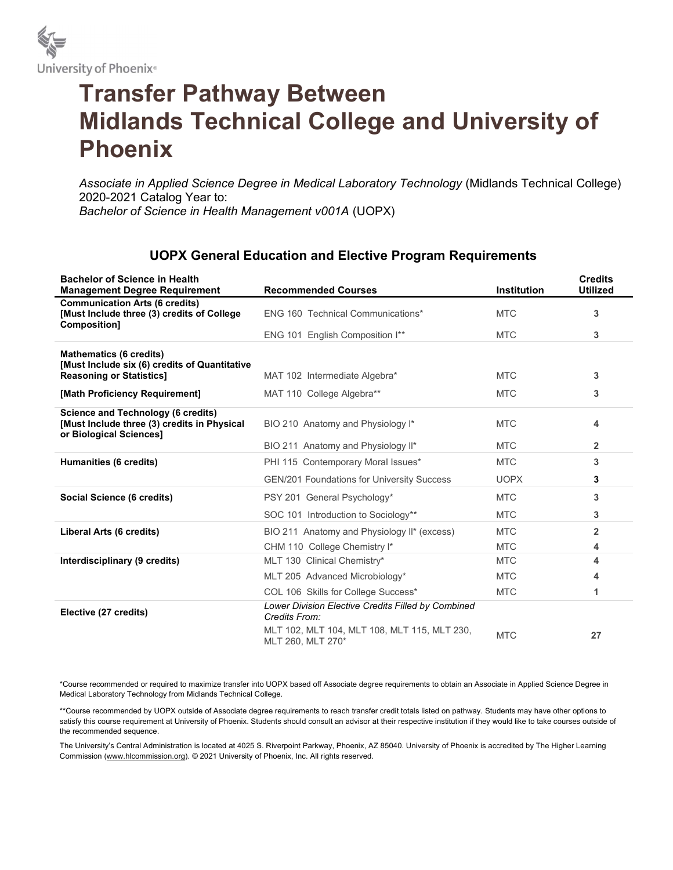

## Transfer Pathway Between Midlands Technical College and University of Phoenix

Associate in Applied Science Degree in Medical Laboratory Technology (Midlands Technical College) 2020-2021 Catalog Year to: Bachelor of Science in Health Management v001A (UOPX)

## UOPX General Education and Elective Program Requirements

| <b>Bachelor of Science in Health</b><br><b>Management Degree Requirement</b>                                        | <b>Recommended Courses</b>                                          | <b>Institution</b> | <b>Credits</b><br><b>Utilized</b> |
|---------------------------------------------------------------------------------------------------------------------|---------------------------------------------------------------------|--------------------|-----------------------------------|
| <b>Communication Arts (6 credits)</b><br>[Must Include three (3) credits of College<br>Composition]                 | ENG 160 Technical Communications*                                   | <b>MTC</b>         | 3                                 |
|                                                                                                                     | ENG 101 English Composition I**                                     | <b>MTC</b>         | 3                                 |
| <b>Mathematics (6 credits)</b>                                                                                      |                                                                     |                    |                                   |
| [Must Include six (6) credits of Quantitative<br><b>Reasoning or Statistics]</b>                                    | MAT 102 Intermediate Algebra*                                       | <b>MTC</b>         | 3                                 |
| [Math Proficiency Requirement]                                                                                      | MAT 110 College Algebra**                                           | <b>MTC</b>         | 3                                 |
| <b>Science and Technology (6 credits)</b><br>[Must Include three (3) credits in Physical<br>or Biological Sciences] | BIO 210 Anatomy and Physiology I*                                   | <b>MTC</b>         | 4                                 |
|                                                                                                                     | BIO 211 Anatomy and Physiology II*                                  | <b>MTC</b>         | $\overline{2}$                    |
| <b>Humanities (6 credits)</b>                                                                                       | PHI 115 Contemporary Moral Issues*                                  | <b>MTC</b>         | 3                                 |
|                                                                                                                     | <b>GEN/201 Foundations for University Success</b>                   | <b>UOPX</b>        | 3                                 |
| Social Science (6 credits)                                                                                          | PSY 201 General Psychology*                                         | <b>MTC</b>         | 3                                 |
|                                                                                                                     | SOC 101 Introduction to Sociology**                                 | <b>MTC</b>         | 3                                 |
| Liberal Arts (6 credits)                                                                                            | BIO 211 Anatomy and Physiology II* (excess)                         | <b>MTC</b>         | $\overline{2}$                    |
|                                                                                                                     | CHM 110 College Chemistry I*                                        | <b>MTC</b>         | 4                                 |
| Interdisciplinary (9 credits)                                                                                       | MLT 130 Clinical Chemistry*                                         | <b>MTC</b>         | 4                                 |
|                                                                                                                     | MLT 205 Advanced Microbiology*                                      | <b>MTC</b>         | 4                                 |
|                                                                                                                     | COL 106 Skills for College Success*                                 | <b>MTC</b>         | 1                                 |
| Elective (27 credits)                                                                                               | Lower Division Elective Credits Filled by Combined<br>Credits From: |                    |                                   |
|                                                                                                                     | MLT 102, MLT 104, MLT 108, MLT 115, MLT 230,<br>MLT 260, MLT 270*   | <b>MTC</b>         | 27                                |

\*Course recommended or required to maximize transfer into UOPX based off Associate degree requirements to obtain an Associate in Applied Science Degree in Medical Laboratory Technology from Midlands Technical College.

\*\*Course recommended by UOPX outside of Associate degree requirements to reach transfer credit totals listed on pathway. Students may have other options to satisfy this course requirement at University of Phoenix. Students should consult an advisor at their respective institution if they would like to take courses outside of the recommended sequence.

The University's Central Administration is located at 4025 S. Riverpoint Parkway, Phoenix, AZ 85040. University of Phoenix is accredited by The Higher Learning Commission (www.hlcommission.org). © 2021 University of Phoenix, Inc. All rights reserved.